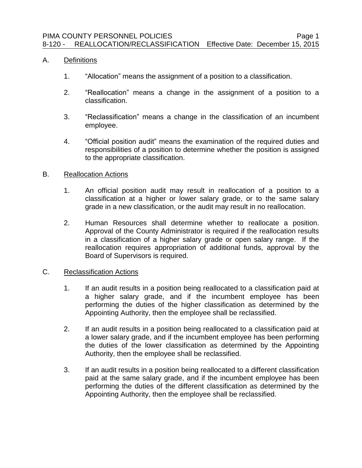## A. Definitions

- 1. "Allocation" means the assignment of a position to a classification.
- 2. "Reallocation" means a change in the assignment of a position to a classification.
- 3. "Reclassification" means a change in the classification of an incumbent employee.
- 4. "Official position audit" means the examination of the required duties and responsibilities of a position to determine whether the position is assigned to the appropriate classification.

## B. Reallocation Actions

- 1. An official position audit may result in reallocation of a position to a classification at a higher or lower salary grade, or to the same salary grade in a new classification, or the audit may result in no reallocation.
- 2. Human Resources shall determine whether to reallocate a position. Approval of the County Administrator is required if the reallocation results in a classification of a higher salary grade or open salary range. If the reallocation requires appropriation of additional funds, approval by the Board of Supervisors is required.

## C. Reclassification Actions

- 1. If an audit results in a position being reallocated to a classification paid at a higher salary grade, and if the incumbent employee has been performing the duties of the higher classification as determined by the Appointing Authority, then the employee shall be reclassified.
- 2. If an audit results in a position being reallocated to a classification paid at a lower salary grade, and if the incumbent employee has been performing the duties of the lower classification as determined by the Appointing Authority, then the employee shall be reclassified.
- 3. If an audit results in a position being reallocated to a different classification paid at the same salary grade, and if the incumbent employee has been performing the duties of the different classification as determined by the Appointing Authority, then the employee shall be reclassified.